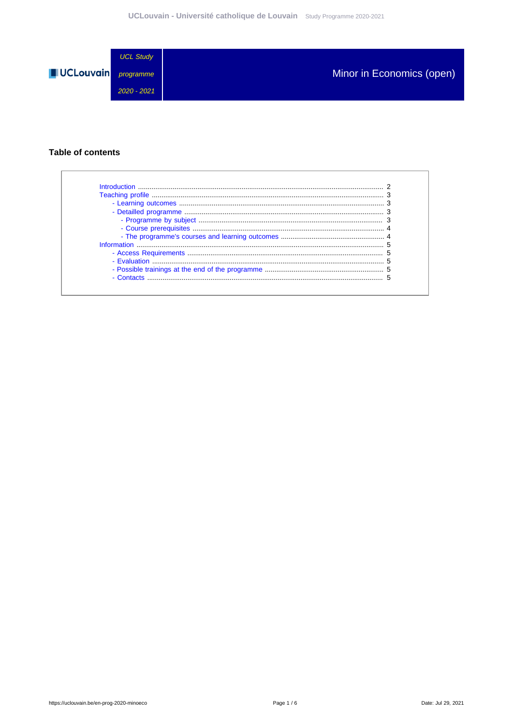

#### **Table of contents**

| - Contacts |  |
|------------|--|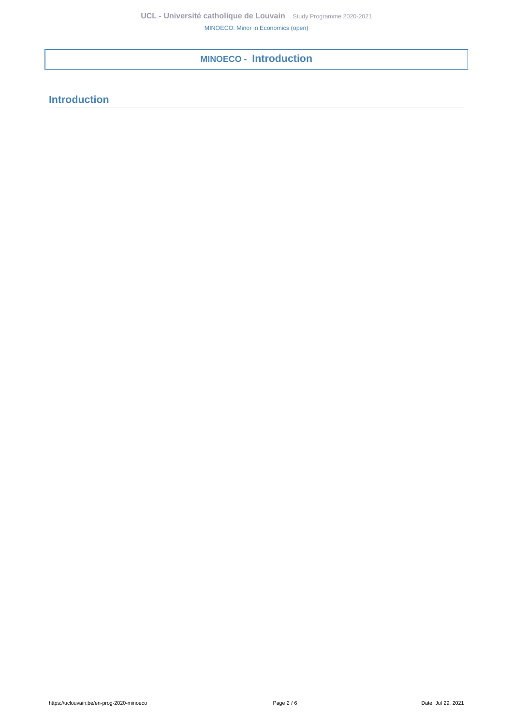# <span id="page-1-0"></span>**MINOECO - Introduction**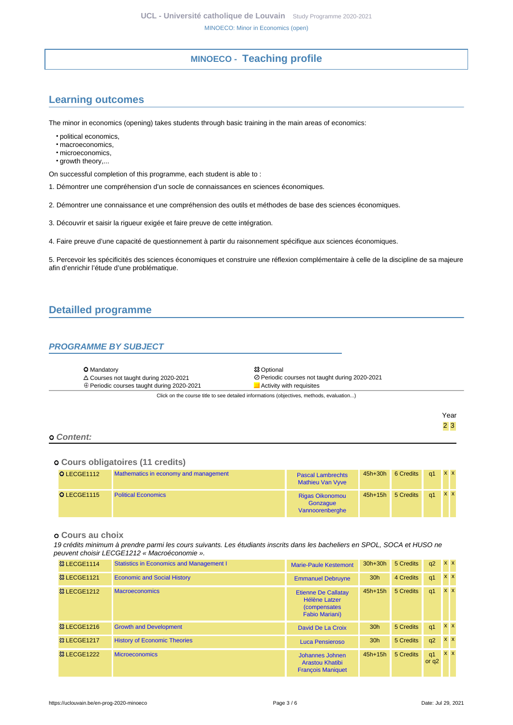## **MINOECO - Teaching profile**

## <span id="page-2-1"></span><span id="page-2-0"></span>**Learning outcomes**

The minor in economics (opening) takes students through basic training in the main areas of economics:

• political economics,

- macroeconomics,
- microeconomics,
- growth theory,...

On successful completion of this programme, each student is able to :

1. Démontrer une compréhension d'un socle de connaissances en sciences économiques.

2. Démontrer une connaissance et une compréhension des outils et méthodes de base des sciences économiques.

3. Découvrir et saisir la rigueur exigée et faire preuve de cette intégration.

4. Faire preuve d'une capacité de questionnement à partir du raisonnement spécifique aux sciences économiques.

5. Percevoir les spécificités des sciences économiques et construire une réflexion complémentaire à celle de la discipline de sa majeure afin d'enrichir l'étude d'une problématique.

## <span id="page-2-2"></span>**Detailled programme**

#### <span id="page-2-3"></span>**PROGRAMME BY SUBJECT**

| <b>O</b> Mandatory                                                                       | <b>83 Optional</b>                             |  |  |  |  |
|------------------------------------------------------------------------------------------|------------------------------------------------|--|--|--|--|
| $\triangle$ Courses not taught during 2020-2021                                          | ⊘ Periodic courses not taught during 2020-2021 |  |  |  |  |
| $\oplus$ Periodic courses taught during 2020-2021                                        | Activity with requisites                       |  |  |  |  |
| Click on the course title to see detailed informations (objectives, methods, evaluation) |                                                |  |  |  |  |

#### **Content:**

#### **Cours obligatoires (11 credits)**

| O LECGE1112 | Mathematics in economy and management | <b>Pascal Lambrechts</b><br><b>Mathieu Van Vyve</b>   | $45h+30h$ | 6 Credits | a1 | <b>XX</b> |
|-------------|---------------------------------------|-------------------------------------------------------|-----------|-----------|----|-----------|
| O LECGE1115 | <b>Political Economics</b>            | <b>Rigas Oikonomou</b><br>Gonzaque<br>Vannoorenberghe | $45h+15h$ | 5 Credits | a1 | <b>XX</b> |

#### **Cours au choix**

19 crédits minimum à prendre parmi les cours suivants. Les étudiants inscrits dans les bacheliers en SPOL, SOCA et HUSO ne peuvent choisir LECGE1212 « Macroéconomie ».

| <b>&amp; LECGE1114</b>   | <b>Statistics in Economics and Management I</b> | <b>Marie-Paule Kestemont</b>                                                                 | $30h+30h$       | 5 Credits | q2                        | <b>x x</b> |
|--------------------------|-------------------------------------------------|----------------------------------------------------------------------------------------------|-----------------|-----------|---------------------------|------------|
| <b>&amp; LECGE1121</b>   | <b>Economic and Social History</b>              | <b>Emmanuel Debruyne</b>                                                                     | 30 <sub>h</sub> | 4 Credits | q <sub>1</sub>            | $x \times$ |
| <sup>3</sup> & LECGE1212 | <b>Macroeconomics</b>                           | <b>Etienne De Callatay</b><br>Hélène Latzer<br><i>(compensates)</i><br><b>Fabio Mariani)</b> | $45h+15h$       | 5 Credits | q <sub>1</sub>            | $x \mid x$ |
| <sup>3</sup> & LECGE1216 | <b>Growth and Development</b>                   | David De La Croix                                                                            | 30 <sub>h</sub> | 5 Credits | q <sub>1</sub>            | $x \times$ |
| <b>&amp; LECGE1217</b>   | <b>History of Economic Theories</b>             | Luca Pensieroso                                                                              | 30 <sub>h</sub> | 5 Credits | q2                        | $x \times$ |
| <b>83 LECGE1222</b>      | <b>Microeconomics</b>                           | Johannes Johnen<br><b>Arastou Khatibi</b><br><b>François Maniquet</b>                        | $45h+15h$       | 5 Credits | q <sub>1</sub><br>or $q2$ | $X$ $X$    |

Year 2 3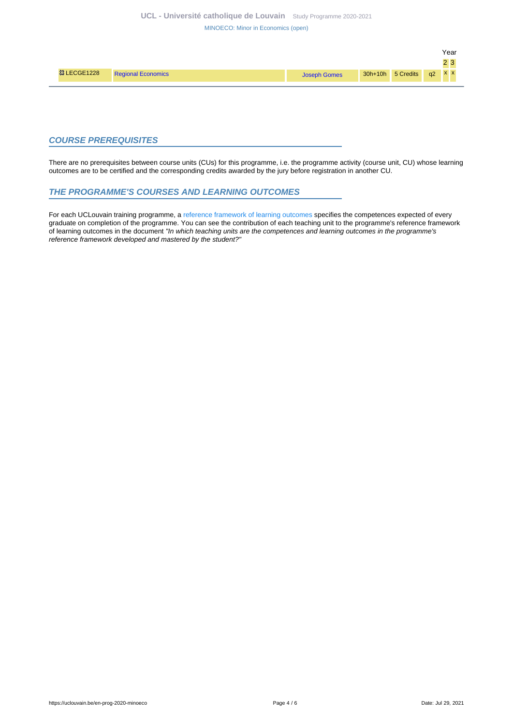[MINOECO: Minor in Economics \(open\)](https://uclouvain.be/en-prog-2020-minoeco.html)

|                     |                           |              |                          | Year |  |
|---------------------|---------------------------|--------------|--------------------------|------|--|
|                     |                           |              |                          | າາ   |  |
| <b>83 LECGE1228</b> | <b>Regional Economics</b> | Joseph Gomes | 30h+10h 5 Credits q2 x x |      |  |
|                     |                           |              |                          |      |  |

#### <span id="page-3-0"></span>**COURSE PREREQUISITES**

There are no prerequisites between course units (CUs) for this programme, i.e. the programme activity (course unit, CU) whose learning outcomes are to be certified and the corresponding credits awarded by the jury before registration in another CU.

#### <span id="page-3-1"></span>**THE PROGRAMME'S COURSES AND LEARNING OUTCOMES**

For each UCLouvain training programme, a [reference framework of learning outcomes](https://uclouvain.be/en-prog-2020-minoeco-competences_et_acquis.html) specifies the competences expected of every graduate on completion of the programme. You can see the contribution of each teaching unit to the programme's reference framework of learning outcomes in the document "In which teaching units are the competences and learning outcomes in the programme's reference framework developed and mastered by the student?"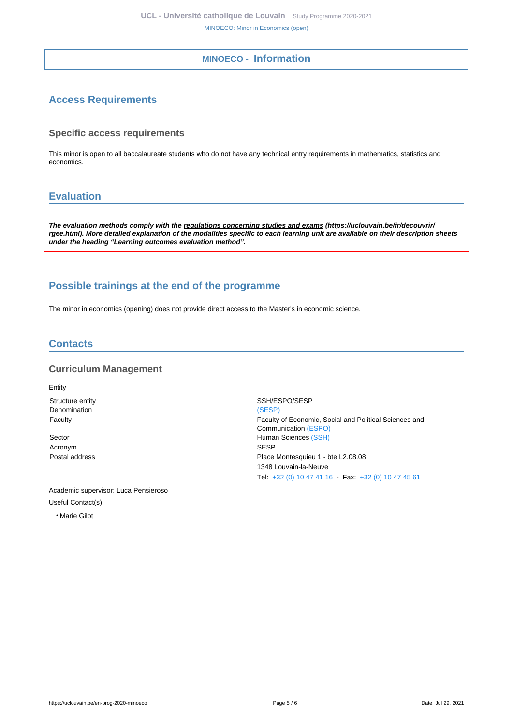## **MINOECO - Information**

## <span id="page-4-1"></span><span id="page-4-0"></span>**Access Requirements**

#### **Specific access requirements**

This minor is open to all baccalaureate students who do not have any technical entry requirements in mathematics, statistics and economics.

## <span id="page-4-2"></span>**Evaluation**

**The evaluation methods comply with the regulations concerning studies and exams (https://uclouvain.be/fr/decouvrir/ rgee.html). More detailed explanation of the modalities specific to each learning unit are available on their description sheets under the heading "Learning outcomes evaluation method".**

## <span id="page-4-3"></span>**Possible trainings at the end of the programme**

The minor in economics (opening) does not provide direct access to the Master's in economic science.

### <span id="page-4-4"></span>**Contacts**

#### **Curriculum Management**

Entity Structure entity Structure entity Denomination [\(SESP\)](https://uclouvain.be/repertoires/entites/sesp)

Acronym SESP

Academic supervisor: Luca Pensieroso Useful Contact(s)

• Marie Gilot

Faculty Faculty of Economic, Social and Political Sciences and Communication [\(ESPO\)](https://uclouvain.be/repertoires/entites/espo) Sector **Human Sciences** [\(SSH\)](https://uclouvain.be/repertoires/entites/ssh) Postal address Place Montesquieu 1 - bte L2.08.08 1348 Louvain-la-Neuve Tel: [+32 \(0\) 10 47 41 16](https://uclouvain.be/tel:+3210474116) - Fax: [+32 \(0\) 10 47 45 61](https://uclouvain.be/tel:+3210474561)